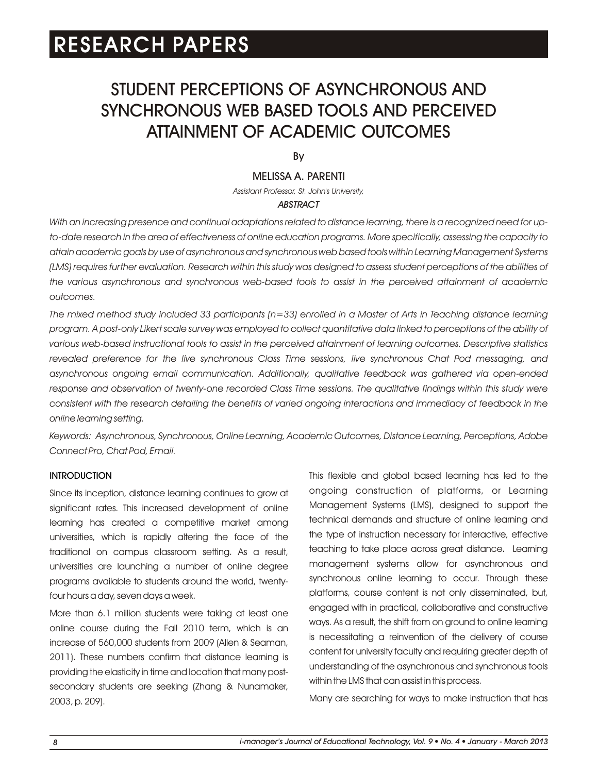# STUDENT PERCEPTIONS OF ASYNCHRONOUS AND SYNCHRONOUS WEB BASED TOOLS AND PERCEIVED ATTAINMENT OF ACADEMIC OUTCOMES

By

### MELISSA A. PARENTI

*Assistant Professor, St. John's University,*

### *ABSTRACT*

*With an increasing presence and continual adaptations related to distance learning, there is a recognized need for upto-date research in the area of effectiveness of online education programs. More specifically, assessing the capacity to attain academic goals by use of asynchronous and synchronous web based tools within Learning Management Systems (LMS) requires further evaluation. Research within this study was designed to assess student perceptions of the abilities of the various asynchronous and synchronous web-based tools to assist in the perceived attainment of academic outcomes.* 

*The mixed method study included 33 participants (n=33) enrolled in a Master of Arts in Teaching distance learning program. A post-only Likert scale survey was employed to collect quantitative data linked to perceptions of the ability of various web-based instructional tools to assist in the perceived attainment of learning outcomes. Descriptive statistics revealed preference for the live synchronous Class Time sessions, live synchronous Chat Pod messaging, and asynchronous ongoing email communication. Additionally, qualitative feedback was gathered via open-ended*  response and observation of twenty-one recorded Class Time sessions. The qualitative findings within this study were consistent with the research detailing the benefits of varied ongoing interactions and immediacy of feedback in the *online learning setting.* 

*Keywords: Asynchronous, Synchronous, Online Learning, Academic Outcomes, Distance Learning, Perceptions, Adobe Connect Pro, Chat Pod, Email.*

#### **INTRODUCTION**

Since its inception, distance learning continues to grow at significant rates. This increased development of online learning has created a competitive market among universities, which is rapidly altering the face of the traditional on campus classroom setting. As a result, universities are launching a number of online degree programs available to students around the world, twentyfour hours a day, seven days a week.

More than 6.1 million students were taking at least one online course during the Fall 2010 term, which is an increase of 560,000 students from 2009 (Allen & Seaman, 2011). These numbers confirm that distance learning is providing the elasticity in time and location that many postsecondary students are seeking (Zhang & Nunamaker, 2003, p. 209).

This flexible and global based learning has led to the ongoing construction of platforms, or Learning Management Systems (LMS), designed to support the technical demands and structure of online learning and the type of instruction necessary for interactive, effective teaching to take place across great distance. Learning management systems allow for asynchronous and synchronous online learning to occur. Through these platforms, course content is not only disseminated, but, engaged with in practical, collaborative and constructive ways. As a result, the shift from on ground to online learning is necessitating a reinvention of the delivery of course content for university faculty and requiring greater depth of understanding of the asynchronous and synchronous tools within the LMS that can assist in this process.

Many are searching for ways to make instruction that has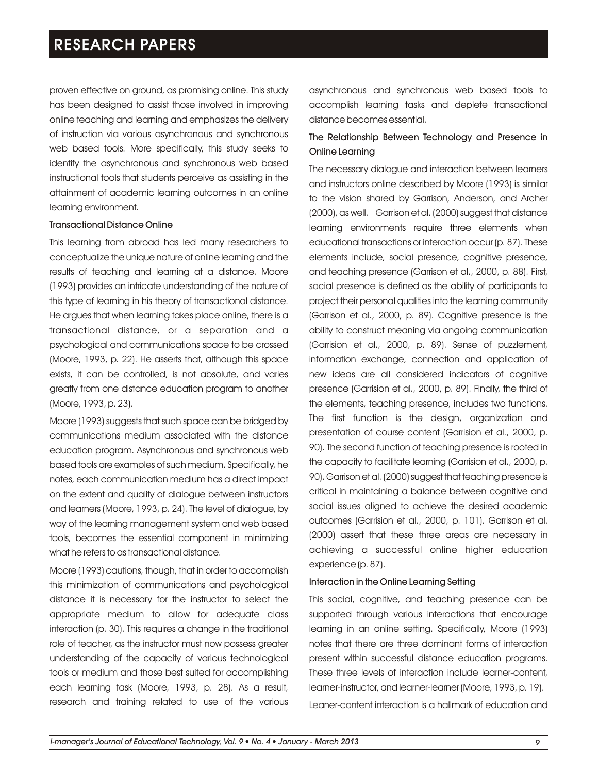proven effective on ground, as promising online. This study has been designed to assist those involved in improving online teaching and learning and emphasizes the delivery of instruction via various asynchronous and synchronous web based tools. More specifically, this study seeks to identify the asynchronous and synchronous web based instructional tools that students perceive as assisting in the attainment of academic learning outcomes in an online learning environment.

#### Transactional Distance Online

This learning from abroad has led many researchers to conceptualize the unique nature of online learning and the results of teaching and learning at a distance. Moore (1993) provides an intricate understanding of the nature of this type of learning in his theory of transactional distance. He argues that when learning takes place online, there is a transactional distance, or a separation and a psychological and communications space to be crossed (Moore, 1993, p. 22). He asserts that, although this space exists, it can be controlled, is not absolute, and varies greatly from one distance education program to another (Moore, 1993, p. 23).

Moore (1993) suggests that such space can be bridged by communications medium associated with the distance education program. Asynchronous and synchronous web based tools are examples of such medium. Specifically, he notes, each communication medium has a direct impact on the extent and quality of dialogue between instructors and learners (Moore, 1993, p. 24). The level of dialogue, by way of the learning management system and web based tools, becomes the essential component in minimizing what he refers to as transactional distance.

Moore (1993) cautions, though, that in order to accomplish this minimization of communications and psychological distance it is necessary for the instructor to select the appropriate medium to allow for adequate class interaction (p. 30). This requires a change in the traditional role of teacher, as the instructor must now possess greater understanding of the capacity of various technological tools or medium and those best suited for accomplishing each learning task (Moore, 1993, p. 28). As a result, research and training related to use of the various asynchronous and synchronous web based tools to accomplish learning tasks and deplete transactional distance becomes essential.

### The Relationship Between Technology and Presence in Online Learning

The necessary dialogue and interaction between learners and instructors online described by Moore (1993) is similar to the vision shared by Garrison, Anderson, and Archer (2000), as well. Garrison et al. (2000) suggest that distance learning environments require three elements when educational transactions or interaction occur (p. 87). These elements include, social presence, cognitive presence, and teaching presence (Garrison et al., 2000, p. 88). First, social presence is defined as the ability of participants to project their personal qualities into the learning community (Garrison et al., 2000, p. 89). Cognitive presence is the ability to construct meaning via ongoing communication (Garrision et al., 2000, p. 89). Sense of puzzlement, information exchange, connection and application of new ideas are all considered indicators of cognitive presence (Garrision et al., 2000, p. 89). Finally, the third of the elements, teaching presence, includes two functions. The first function is the design, organization and presentation of course content (Garrision et al., 2000, p. 90). The second function of teaching presence is rooted in the capacity to facilitate learning (Garrision et al., 2000, p. 90). Garrison et al. (2000) suggest that teaching presence is critical in maintaining a balance between cognitive and social issues aligned to achieve the desired academic outcomes (Garrision et al., 2000, p. 101). Garrison et al. (2000) assert that these three areas are necessary in achieving a successful online higher education experience (p. 87).

#### Interaction in the Online Learning Setting

This social, cognitive, and teaching presence can be supported through various interactions that encourage learning in an online setting. Specifically, Moore (1993) notes that there are three dominant forms of interaction present within successful distance education programs. These three levels of interaction include learner-content, learner-instructor, and learner-learner (Moore, 1993, p. 19). Leaner-content interaction is a hallmark of education and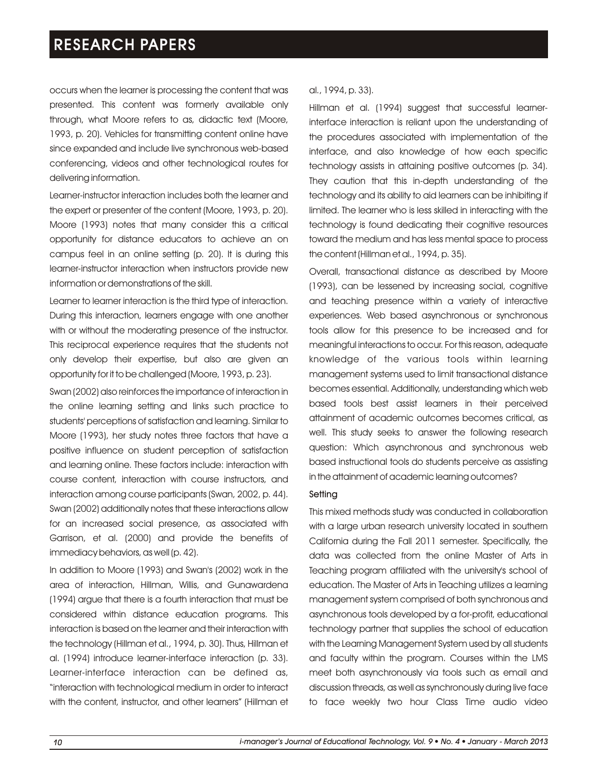occurs when the learner is processing the content that was presented. This content was formerly available only through, what Moore refers to as, didactic text (Moore, 1993, p. 20). Vehicles for transmitting content online have since expanded and include live synchronous web-based conferencing, videos and other technological routes for delivering information.

Learner-instructor interaction includes both the learner and the expert or presenter of the content (Moore, 1993, p. 20). Moore (1993) notes that many consider this a critical opportunity for distance educators to achieve an on campus feel in an online setting (p. 20). It is during this learner-instructor interaction when instructors provide new information or demonstrations of the skill.

Learner to learner interaction is the third type of interaction. During this interaction, learners engage with one another with or without the moderating presence of the instructor. This reciprocal experience requires that the students not only develop their expertise, but also are given an opportunity for it to be challenged (Moore, 1993, p. 23).

Swan (2002) also reinforces the importance of interaction in the online learning setting and links such practice to students' perceptions of satisfaction and learning. Similar to Moore (1993), her study notes three factors that have a positive influence on student perception of satisfaction and learning online. These factors include: interaction with course content, interaction with course instructors, and interaction among course participants (Swan, 2002, p. 44). Swan (2002) additionally notes that these interactions allow for an increased social presence, as associated with Garrison, et al. (2000) and provide the benefits of immediacy behaviors, as well (p. 42).

In addition to Moore (1993) and Swan's (2002) work in the area of interaction, Hillman, Willis, and Gunawardena (1994) argue that there is a fourth interaction that must be considered within distance education programs. This interaction is based on the learner and their interaction with the technology (Hillman et al., 1994, p. 30). Thus, Hillman et al. (1994) introduce learner-interface interaction (p. 33). Learner-interface interaction can be defined as, "interaction with technological medium in order to interact with the content, instructor, and other learners" (Hillman et

#### al., 1994, p. 33).

Hillman et al. (1994) suggest that successful learnerinterface interaction is reliant upon the understanding of the procedures associated with implementation of the interface, and also knowledge of how each specific technology assists in attaining positive outcomes (p. 34). They caution that this in-depth understanding of the technology and its ability to aid learners can be inhibiting if limited. The learner who is less skilled in interacting with the technology is found dedicating their cognitive resources toward the medium and has less mental space to process the content (Hillman et al., 1994, p. 35).

Overall, transactional distance as described by Moore (1993), can be lessened by increasing social, cognitive and teaching presence within a variety of interactive experiences. Web based asynchronous or synchronous tools allow for this presence to be increased and for meaningful interactions to occur. For this reason, adequate knowledge of the various tools within learning management systems used to limit transactional distance becomes essential. Additionally, understanding which web based tools best assist learners in their perceived attainment of academic outcomes becomes critical, as well. This study seeks to answer the following research question: Which asynchronous and synchronous web based instructional tools do students perceive as assisting in the attainment of academic learning outcomes?

#### **Setting**

This mixed methods study was conducted in collaboration with a large urban research university located in southern California during the Fall 2011 semester. Specifically, the data was collected from the online Master of Arts in Teaching program affiliated with the university's school of education. The Master of Arts in Teaching utilizes a learning management system comprised of both synchronous and asynchronous tools developed by a for-profit, educational technology partner that supplies the school of education with the Learning Management System used by all students and faculty within the program. Courses within the LMS meet both asynchronously via tools such as email and discussion threads, as well as synchronously during live face to face weekly two hour Class Time audio video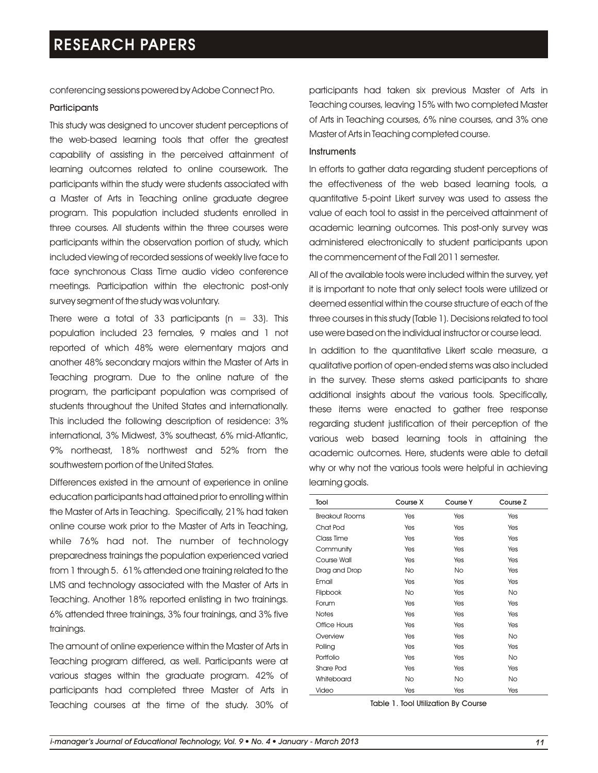conferencing sessions powered by Adobe Connect Pro.

#### **Participants**

This study was designed to uncover student perceptions of the web-based learning tools that offer the greatest capability of assisting in the perceived attainment of learning outcomes related to online coursework. The participants within the study were students associated with a Master of Arts in Teaching online graduate degree program. This population included students enrolled in three courses. All students within the three courses were participants within the observation portion of study, which included viewing of recorded sessions of weekly live face to face synchronous Class Time audio video conference meetings. Participation within the electronic post-only survey segment of the study was voluntary.

There were a total of 33 participants ( $n = 33$ ). This population included 23 females, 9 males and 1 not reported of which 48% were elementary majors and another 48% secondary majors within the Master of Arts in Teaching program. Due to the online nature of the program, the participant population was comprised of students throughout the United States and internationally. This included the following description of residence: 3% international, 3% Midwest, 3% southeast, 6% mid-Atlantic, 9% northeast, 18% northwest and 52% from the southwestern portion of the United States.

Differences existed in the amount of experience in online education participants had attained prior to enrolling within the Master of Arts in Teaching. Specifically, 21% had taken online course work prior to the Master of Arts in Teaching, while 76% had not. The number of technology preparedness trainings the population experienced varied from 1 through 5. 61% attended one training related to the LMS and technology associated with the Master of Arts in Teaching. Another 18% reported enlisting in two trainings. 6% attended three trainings, 3% four trainings, and 3% five trainings.

The amount of online experience within the Master of Arts in Teaching program differed, as well. Participants were at various stages within the graduate program. 42% of participants had completed three Master of Arts in Teaching courses at the time of the study. 30% of

participants had taken six previous Master of Arts in Teaching courses, leaving 15% with two completed Master of Arts in Teaching courses, 6% nine courses, and 3% one Master of Arts in Teaching completed course.

#### **Instruments**

In efforts to gather data regarding student perceptions of the effectiveness of the web based learning tools, a quantitative 5-point Likert survey was used to assess the value of each tool to assist in the perceived attainment of academic learning outcomes. This post-only survey was administered electronically to student participants upon the commencement of the Fall 2011 semester.

All of the available tools were included within the survey, yet it is important to note that only select tools were utilized or deemed essential within the course structure of each of the three courses in this study (Table 1). Decisions related to tool use were based on the individual instructor or course lead.

In addition to the quantitative Likert scale measure, a qualitative portion of open-ended stems was also included in the survey. These stems asked participants to share additional insights about the various tools. Specifically, these items were enacted to gather free response regarding student justification of their perception of the various web based learning tools in attaining the academic outcomes. Here, students were able to detail why or why not the various tools were helpful in achieving learning goals.

| Tool                  | Course X  | Course Y  | Course Z  |
|-----------------------|-----------|-----------|-----------|
| <b>Breakout Rooms</b> | Yes       | Yes       | Yes       |
| Chat Pod              | Yes       | Yes       | Yes       |
| Class Time            | Yes       | Yes       | Yes       |
| Community             | Yes       | Yes       | Yes       |
| Course Wall           | Yes       | Yes       | Yes       |
| Drag and Drop         | <b>No</b> | <b>No</b> | Yes       |
| Email                 | Yes       | Yes       | Yes       |
| Flipbook              | <b>No</b> | Yes       | <b>No</b> |
| Forum                 | Yes       | Yes       | Yes       |
| <b>Notes</b>          | Yes       | Yes       | Yes       |
| Office Hours          | Yes       | Yes       | Yes       |
| Overview              | Yes       | Yes       | <b>No</b> |
| Polling               | Yes       | Yes       | Yes       |
| Portfolio             | Yes       | Yes       | <b>No</b> |
| Share Pod             | Yes       | Yes       | Yes       |
| Whiteboard            | <b>No</b> | <b>No</b> | <b>No</b> |
| Video                 | Yes       | Yes       | Yes       |

Table 1. Tool Utilization By Course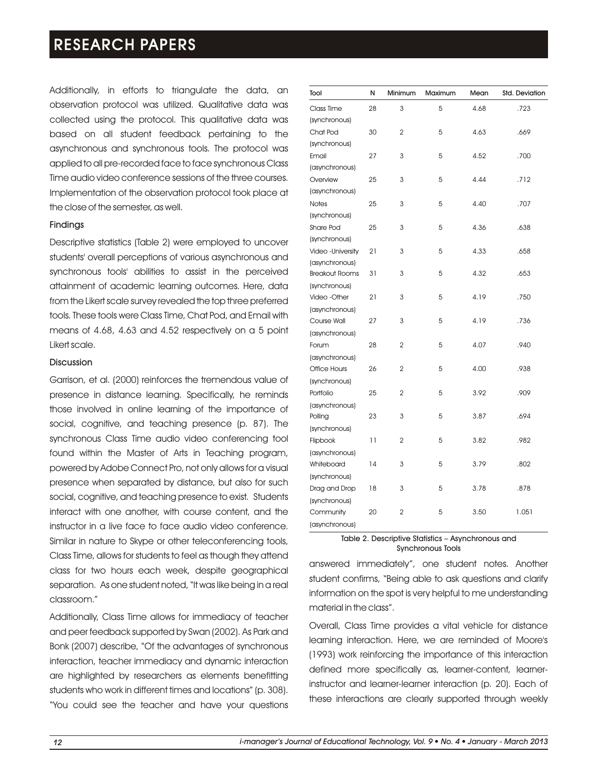Additionally, in efforts to triangulate the data, an observation protocol was utilized. Qualitative data was collected using the protocol. This qualitative data was based on all student feedback pertaining to the asynchronous and synchronous tools. The protocol was applied to all pre-recorded face to face synchronous Class Time audio video conference sessions of the three courses. Implementation of the observation protocol took place at the close of the semester, as well.

### Findings

Descriptive statistics (Table 2) were employed to uncover students' overall perceptions of various asynchronous and synchronous tools' abilities to assist in the perceived attainment of academic learning outcomes. Here, data from the Likert scale survey revealed the top three preferred tools. These tools were Class Time, Chat Pod, and Email with means of 4.68, 4.63 and 4.52 respectively on a 5 point Likert scale.

#### **Discussion**

Garrison, et al. (2000) reinforces the tremendous value of presence in distance learning. Specifically, he reminds those involved in online learning of the importance of social, cognitive, and teaching presence (p. 87). The synchronous Class Time audio video conferencing tool found within the Master of Arts in Teaching program, powered by Adobe Connect Pro, not only allows for a visual presence when separated by distance, but also for such social, cognitive, and teaching presence to exist. Students interact with one another, with course content, and the instructor in a live face to face audio video conference. Similar in nature to Skype or other teleconferencing tools, Class Time, allows for students to feel as though they attend class for two hours each week, despite geographical separation. As one student noted, "It was like being in a real classroom."

Additionally, Class Time allows for immediacy of teacher and peer feedback supported by Swan (2002). As Park and Bonk (2007) describe, "Of the advantages of synchronous interaction, teacher immediacy and dynamic interaction are highlighted by researchers as elements benefitting students who work in different times and locations" (p. 308). "You could see the teacher and have your questions

| Tool                        | N  | Minimum        | Maximum | Mean | Std. Deviation |
|-----------------------------|----|----------------|---------|------|----------------|
| Class Time<br>(synchronous) | 28 | 3              | 5       | 4.68 | .723           |
| Chat Pod<br>(synchronous)   | 30 | $\overline{2}$ | 5       | 4.63 | .669           |
| Email                       | 27 | 3              | 5       | 4.52 | .700           |
| (asynchronous)              |    |                |         |      |                |
| Overview                    | 25 | 3              | 5       | 4.44 | .712           |
| (asynchronous)              |    |                |         |      |                |
| <b>Notes</b>                | 25 | 3              | 5       | 4.40 | .707           |
| (synchronous)               |    |                |         |      |                |
| Share Pod                   | 25 | 3              | 5       | 4.36 | .638           |
| (synchronous)               |    |                |         |      |                |
| Video - University          | 21 | 3              | 5       | 4.33 | .658           |
| (asynchronous)              |    |                |         |      |                |
| <b>Breakout Rooms</b>       | 31 | 3              | 5       | 4.32 | .653           |
| (synchronous)               |    |                |         |      |                |
| Video - Other               | 21 | 3              | 5       | 4.19 | .750           |
| (asynchronous)              |    |                |         |      |                |
| Course Wall                 | 27 | 3              | 5       | 4.19 | .736           |
| (asynchronous)              |    |                |         |      |                |
| Forum                       | 28 | $\overline{2}$ | 5       | 4.07 | .940           |
| (asynchronous)              |    |                |         |      |                |
| <b>Office Hours</b>         | 26 | $\overline{2}$ | 5       | 4.00 | .938           |
| (synchronous)               |    |                |         |      |                |
| Portfolio                   | 25 | $\overline{2}$ | 5       | 3.92 | .909           |
| (asynchronous)              |    |                |         |      |                |
| Polling                     | 23 | 3              | 5       | 3.87 | .694           |
| (synchronous)               |    |                |         |      |                |
| Flipbook                    | 11 | 2              | 5       | 3.82 | .982           |
| (asynchronous)              |    |                |         |      |                |
| Whiteboard                  | 14 | 3              | 5       | 3.79 | .802           |
| (synchronous)               |    |                |         |      |                |
| Drag and Drop               | 18 | 3              | 5       | 3.78 | .878           |
| (synchronous)               | 20 | 2              | 5       | 3.50 | 1.051          |
| Community                   |    |                |         |      |                |
| (asynchronous)              |    |                |         |      |                |

#### Table 2. Descriptive Statistics – Asynchronous and Synchronous Tools

answered immediately", one student notes. Another student confirms, "Being able to ask questions and clarify information on the spot is very helpful to me understanding material in the class".

Overall, Class Time provides a vital vehicle for distance learning interaction. Here, we are reminded of Moore's (1993) work reinforcing the importance of this interaction defined more specifically as, learner-content, learnerinstructor and learner-learner interaction (p. 20). Each of these interactions are clearly supported through weekly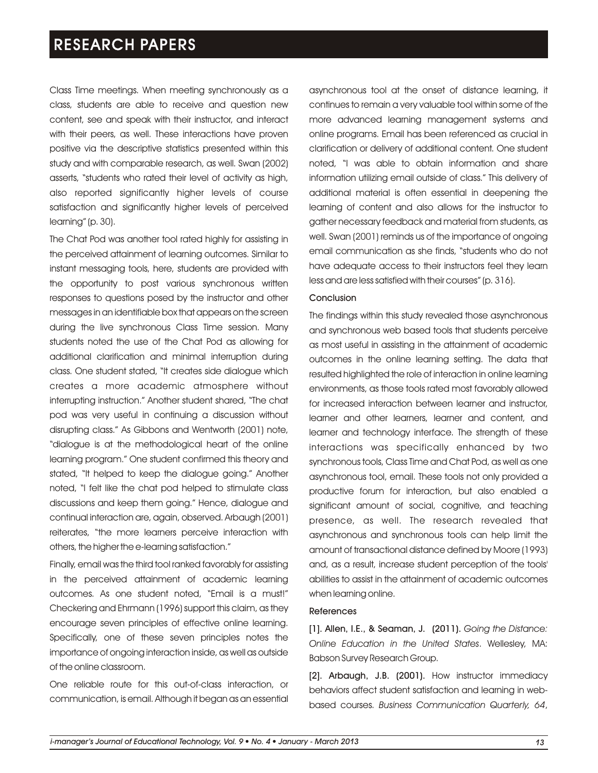Class Time meetings. When meeting synchronously as a class, students are able to receive and question new content, see and speak with their instructor, and interact with their peers, as well. These interactions have proven positive via the descriptive statistics presented within this study and with comparable research, as well. Swan (2002) asserts, "students who rated their level of activity as high, also reported significantly higher levels of course satisfaction and significantly higher levels of perceived learning" (p. 30).

The Chat Pod was another tool rated highly for assisting in the perceived attainment of learning outcomes. Similar to instant messaging tools, here, students are provided with the opportunity to post various synchronous written responses to questions posed by the instructor and other messages in an identifiable box that appears on the screen during the live synchronous Class Time session. Many students noted the use of the Chat Pod as allowing for additional clarification and minimal interruption during class. One student stated, "It creates side dialogue which creates a more academic atmosphere without interrupting instruction." Another student shared, "The chat pod was very useful in continuing a discussion without disrupting class." As Gibbons and Wentworth (2001) note, "dialogue is at the methodological heart of the online learning program." One student confirmed this theory and stated, "It helped to keep the dialogue going." Another noted, "I felt like the chat pod helped to stimulate class discussions and keep them going." Hence, dialogue and continual interaction are, again, observed. Arbaugh (2001) reiterates, "the more learners perceive interaction with others, the higher the e-learning satisfaction."

Finally, email was the third tool ranked favorably for assisting in the perceived attainment of academic learning outcomes. As one student noted, "Email is a must!" Checkering and Ehrmann (1996) support this claim, as they encourage seven principles of effective online learning. Specifically, one of these seven principles notes the importance of ongoing interaction inside, as well as outside of the online classroom.

One reliable route for this out-of-class interaction, or communication, is email. Although it began as an essential asynchronous tool at the onset of distance learning, it continues to remain a very valuable tool within some of the more advanced learning management systems and online programs. Email has been referenced as crucial in clarification or delivery of additional content. One student noted, "I was able to obtain information and share information utilizing email outside of class." This delivery of additional material is often essential in deepening the learning of content and also allows for the instructor to gather necessary feedback and material from students, as well. Swan (2001) reminds us of the importance of ongoing email communication as she finds, "students who do not have adequate access to their instructors feel they learn less and are less satisfied with their courses" (p. 316).

#### Conclusion

The findings within this study revealed those asynchronous and synchronous web based tools that students perceive as most useful in assisting in the attainment of academic outcomes in the online learning setting. The data that resulted highlighted the role of interaction in online learning environments, as those tools rated most favorably allowed for increased interaction between learner and instructor, learner and other learners, learner and content, and learner and technology interface. The strength of these interactions was specifically enhanced by two synchronous tools, Class Time and Chat Pod, as well as one asynchronous tool, email. These tools not only provided a productive forum for interaction, but also enabled a significant amount of social, cognitive, and teaching presence, as well. The research revealed that asynchronous and synchronous tools can help limit the amount of transactional distance defined by Moore (1993) and, as a result, increase student perception of the tools' abilities to assist in the attainment of academic outcomes when learning online.

#### References

[1]. Allen, I.E., & Seaman, J. (2011). *Going the Distance: Online Education in the United States*. Wellesley, MA: Babson Survey Research Group.

[2]. Arbaugh, J.B. (2001). How instructor immediacy behaviors affect student satisfaction and learning in webbased courses. *Business Communication Quarterly, 64*,